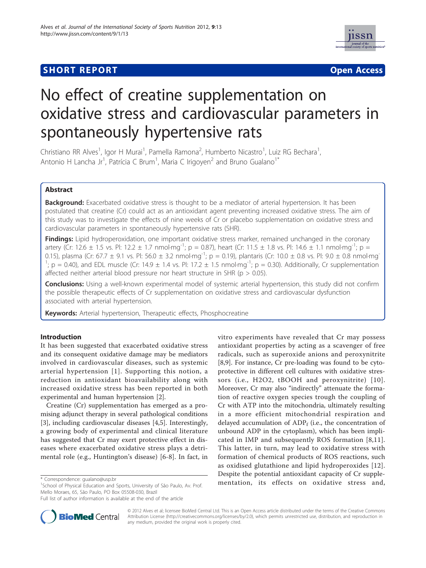# **SHORT REPORT CONTRACT CONTRACT CONTRACT CONTRACT CONTRACT CONTRACT CONTRACT CONTRACT CONTRACT CONTRACT CONTRACT CONTRACT CONTRACT CONTRACT CONTRACT CONTRACT CONTRACT CONTRACT CONTRACT CONTRACT CONTRACT CONTRACT CONTRACT C**



# No effect of creatine supplementation on oxidative stress and cardiovascular parameters in spontaneously hypertensive rats

Christiano RR Alves<sup>1</sup>, Igor H Murai<sup>1</sup>, Pamella Ramona<sup>2</sup>, Humberto Nicastro<sup>1</sup>, Luiz RG Bechara<sup>1</sup> , Antonio H Lancha Jr<sup>1</sup>, Patrícia C Brum<sup>1</sup>, Maria C Irigoyen<sup>2</sup> and Bruno Gualano<sup>1\*</sup>

# Abstract

**Background:** Exacerbated oxidative stress is thought to be a mediator of arterial hypertension. It has been postulated that creatine (Cr) could act as an antioxidant agent preventing increased oxidative stress. The aim of this study was to investigate the effects of nine weeks of Cr or placebo supplementation on oxidative stress and cardiovascular parameters in spontaneously hypertensive rats (SHR).

Findings: Lipid hydroperoxidation, one important oxidative stress marker, remained unchanged in the coronary artery (Cr: 12.6  $\pm$  1.5 vs. Pl: 12.2  $\pm$  1.7 nmol·mg<sup>-1</sup>; p = 0.87), heart (Cr: 11.5  $\pm$  1.8 vs. Pl: 14.6  $\pm$  1.1 nmol·mg<sup>-1</sup>; p = 0.15), plasma (Cr: 67.7  $\pm$  9.1 vs. Pl: 56.0  $\pm$  3.2 nmol·mg<sup>-1</sup>; p = 0.19), plantaris (Cr: 10.0  $\pm$  0.8 vs. Pl: 9.0  $\pm$  0.8 nmol·mg<sup>-</sup>  $1$ ; p = 0.40), and EDL muscle (Cr: 14.9  $\pm$  1.4 vs. Pl: 17.2  $\pm$  1.5 nmol·mg<sup>-1</sup>; p = 0.30). Additionally, Cr supplementation affected neither arterial blood pressure nor heart structure in SHR ( $p > 0.05$ ).

**Conclusions:** Using a well-known experimental model of systemic arterial hypertension, this study did not confirm the possible therapeutic effects of Cr supplementation on oxidative stress and cardiovascular dysfunction associated with arterial hypertension.

Keywords: Arterial hypertension, Therapeutic effects, Phosphocreatine

# Introduction

It has been suggested that exacerbated oxidative stress and its consequent oxidative damage may be mediators involved in cardiovascular diseases, such as systemic arterial hypertension [[1\]](#page-2-0). Supporting this notion, a reduction in antioxidant bioavailability along with increased oxidative stress has been reported in both experimental and human hypertension [[2\]](#page-2-0).

Creatine (Cr) supplementation has emerged as a promising adjunct therapy in several pathological conditions [[3\]](#page-2-0), including cardiovascular diseases [\[4,5](#page-3-0)]. Interestingly, a growing body of experimental and clinical literature has suggested that Cr may exert protective effect in diseases where exacerbated oxidative stress plays a detrimental role (e.g., Huntington's disease) [\[6](#page-3-0)-[8\]](#page-3-0). In fact, in

vitro experiments have revealed that Cr may possess antioxidant properties by acting as a scavenger of free radicals, such as superoxide anions and peroxynitrite [[8,9\]](#page-3-0). For instance, Cr pre-loading was found to be cytoprotective in different cell cultures with oxidative stressors (i.e., H2O2, tBOOH and peroxynitrite) [[10\]](#page-3-0). Moreover, Cr may also "indirectly" attenuate the formation of reactive oxygen species trough the coupling of Cr with ATP into the mitochondria, ultimately resulting in a more efficient mitochondrial respiration and delayed accumulation of  $ADP_f$  (i.e., the concentration of unbound ADP in the cytoplasm), which has been implicated in IMP and subsequently ROS formation [\[8](#page-3-0),[11](#page-3-0)]. This latter, in turn, may lead to oxidative stress with formation of chemical products of ROS reactions, such as oxidised glutathione and lipid hydroperoxides [[12\]](#page-3-0). Despite the potential antioxidant capacity of Cr supplementation, its effects on oxidative stress and, \* Correspondence: [gualano@usp.br](mailto:gualano@usp.br)



© 2012 Alves et al; licensee BioMed Central Ltd. This is an Open Access article distributed under the terms of the Creative Commons Attribution License [\(http://creativecommons.org/licenses/by/2.0](http://creativecommons.org/licenses/by/2.0)), which permits unrestricted use, distribution, and reproduction in any medium, provided the original work is properly cited.

<sup>&</sup>lt;sup>1</sup>School of Physical Education and Sports, University of São Paulo, Av. Prof. Mello Moraes, 65, São Paulo, PO Box 05508-030, Brazil

Full list of author information is available at the end of the article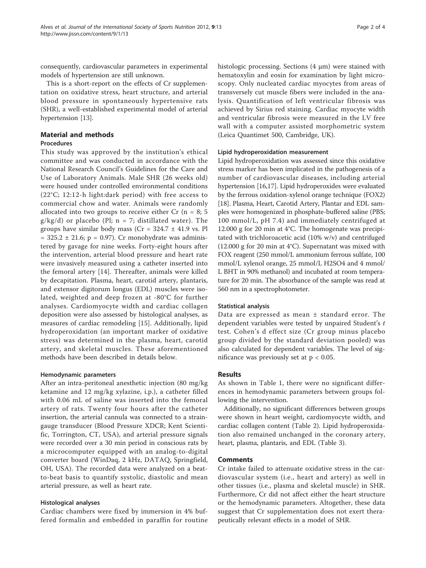consequently, cardiovascular parameters in experimental models of hypertension are still unknown.

This is a short-report on the effects of Cr supplementation on oxidative stress, heart structure, and arterial blood pressure in spontaneously hypertensive rats (SHR), a well-established experimental model of arterial hypertension [[13](#page-3-0)].

# Material and methods

# Procedures

This study was approved by the institution's ethical committee and was conducted in accordance with the National Research Council's Guidelines for the Care and Use of Laboratory Animals. Male SHR (26 weeks old) were housed under controlled environmental conditions (22°C; 12:12-h light:dark period) with free access to commercial chow and water. Animals were randomly allocated into two groups to receive either Cr  $(n = 8; 5)$  $g/kg/d$ ) or placebo (Pl;  $n = 7$ ; distillated water). The groups have similar body mass ( $Cr = 324.7 \pm 41.9$  vs. Pl  $= 325.2 \pm 21.6$ ; p = 0.97). Cr monohydrate was administered by gavage for nine weeks. Forty-eight hours after the intervention, arterial blood pressure and heart rate were invasively measured using a catheter inserted into the femoral artery [[14](#page-3-0)]. Thereafter, animals were killed by decapitation. Plasma, heart, carotid artery, plantaris, and extensor digitorum longus (EDL) muscles were isolated, weighted and deep frozen at -80°C for further analyses. Cardiomyocyte width and cardiac collagen deposition were also assessed by histological analyses, as measures of cardiac remodeling [[15\]](#page-3-0). Additionally, lipid hydroperoxidation (an important marker of oxidative stress) was determined in the plasma, heart, carotid artery, and skeletal muscles. These aforementioned methods have been described in details below.

### Hemodynamic parameters

After an intra-peritoneal anesthetic injection (80 mg/kg ketamine and 12 mg/kg xylazine, i.p.), a catheter filled with 0.06 mL of saline was inserted into the femoral artery of rats. Twenty four hours after the catheter insertion, the arterial cannula was connected to a straingauge transducer (Blood Pressure XDCR; Kent Scientific, Torrington, CT, USA), and arterial pressure signals were recorded over a 30 min period in conscious rats by a microcomputer equipped with an analog-to-digital converter board (WinDaq, 2 kHz, DATAQ, Springfield, OH, USA). The recorded data were analyzed on a beatto-beat basis to quantify systolic, diastolic and mean arterial pressure, as well as heart rate.

### Histological analyses

Cardiac chambers were fixed by immersion in 4% buffered formalin and embedded in paraffin for routine histologic processing. Sections (4 μm) were stained with hematoxylin and eosin for examination by light microscopy. Only nucleated cardiac myocytes from areas of transversely cut muscle fibers were included in the analysis. Quantification of left ventricular fibrosis was achieved by Sirius red staining. Cardiac myocyte width and ventricular fibrosis were measured in the LV free wall with a computer assisted morphometric system (Leica Quantimet 500, Cambridge, UK).

# Lipid hydroperoxidation measurement

Lipid hydroperoxidation was assessed since this oxidative stress marker has been implicated in the pathogenesis of a number of cardiovascular diseases, including arterial hypertension [\[16,17\]](#page-3-0). Lipid hydroperoxides were evaluated by the ferrous oxidation-xylenol orange technique (FOX2) [[18](#page-3-0)]. Plasma, Heart, Carotid Artery, Plantar and EDL samples were homogenized in phosphate-buffered saline (PBS; 100 mmol/L, pH 7.4) and immediately centrifuged at 12.000 g for 20 min at 4°C. The homogenate was precipitated with trichloroacetic acid (10% w/v) and centrifuged (12.000 g for 20 min at 4°C). Supernatant was mixed with FOX reagent (250 mmol/L ammonium ferrous sulfate, 100 mmol/L xylenol orange, 25 mmol/L H2SO4 and 4 mmol/ L BHT in 90% methanol) and incubated at room temperature for 20 min. The absorbance of the sample was read at 560 nm in a spectrophotometer.

### Statistical analysis

Data are expressed as mean ± standard error. The dependent variables were tested by unpaired Student's t test. Cohen's d effect size (Cr group minus placebo group divided by the standard deviation pooled) was also calculated for dependent variables. The level of significance was previously set at  $p < 0.05$ .

# Results

As shown in Table [1,](#page-2-0) there were no significant differences in hemodynamic parameters between groups following the intervention.

Additionally, no significant differences between groups were shown in heart weight, cardiomyocyte width, and cardiac collagen content (Table [2\)](#page-2-0). Lipid hydroperoxidation also remained unchanged in the coronary artery, heart, plasma, plantaris, and EDL (Table [3\)](#page-2-0).

### Comments

Cr intake failed to attenuate oxidative stress in the cardiovascular system (i.e., heart and artery) as well in other tissues (i.e., plasma and skeletal muscle) in SHR. Furthermore, Cr did not affect either the heart structure or the hemodynamic parameters. Altogether, these data suggest that Cr supplementation does not exert therapeutically relevant effects in a model of SHR.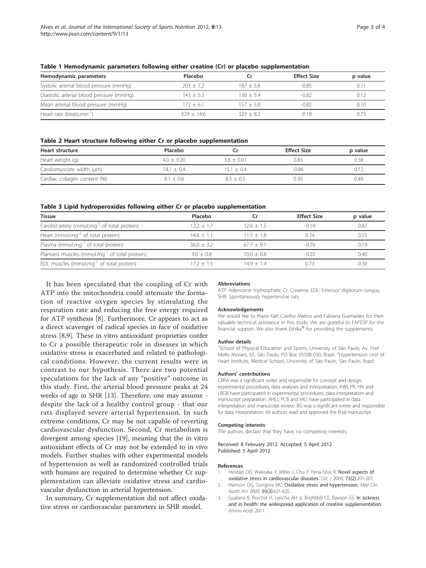| Hemodynamic parameters                   | Placebo      |             | <b>Effect Size</b> | p value |
|------------------------------------------|--------------|-------------|--------------------|---------|
| Systolic arterial blood pressure (mmHg)  | $203 + 7.2$  | $187 + 5.8$ | $-0.85$            | 0.1     |
| Diastolic arterial blood pressure (mmHg) | $143 + 5.3$  | $130 + 54$  | $-0.82$            | 0.12    |
| Mean arterial blood pressure (mmHg)      | $172 + 61$   | $157 + 5.8$ | $-0.82$            | 0.10    |
| Heart rate (beats.min <sup>-1</sup> )    | $329 + 14.6$ | $323 + 82$  | $-0.18$            |         |

<span id="page-2-0"></span>Table 1 Hemodynamic parameters following either creatine (Cr) or placebo supplementation

#### Table 2 Heart structure following either Cr or placebo supplementation

| <b>Heart structure</b>       | Placebo      |              | <b>Effect Size</b> | p value |
|------------------------------|--------------|--------------|--------------------|---------|
| Heart weight (g)             | $4.0 + 0.20$ | $3.8 + 0.01$ | 0.83               | 0.38    |
| Cardiomyocyte width (µm)     | $14.1 + 0.4$ | $15.1 + 0.4$ | $-0.86$            | 0.13    |
| Cardiac collagen content (%) | $9.1 + 0.6$  | $8.5 + 0.5$  | 0.30               | 0.49    |

#### Table 3 Lipid hydroperoxides following either Cr or placebo supplementation

| <b>Tissue</b>                                              | Placebo      |              | <b>Effect Size</b> | p value |
|------------------------------------------------------------|--------------|--------------|--------------------|---------|
| Carotid artery (mmol.mg <sup>-1</sup> of total protein)    | $12.2 + 1.7$ | $12.6 + 1.5$ | $-0.14$            | 0.87    |
| Heart (mmol.mg $^{-1}$ of total protein)                   | $146 + 11$   | $11.5 + 1.8$ | 0.74               | 0.15    |
| Plasma (mmol.mg $^{-1}$ of total protein)                  | $56.0 + 3.2$ | $677 + 91$   | $-0.76$            | 0.19    |
| Plantaris muscles (mmol.mg <sup>-1</sup> of total protein) | $90 + 08$    | $10.0 + 0.8$ | $-0.35$            | 0.40    |
| EDL muscles (mmol.mg <sup>-1</sup> of total protein)       | $172 + 15$   | $149 + 14$   | በ 73               | 0.30    |

It has been speculated that the coupling of Cr with ATP into the mitochondria could attenuate the formation of reactive oxygen species by stimulating the respiration rate and reducing the free energy required for ATP synthesis [[8\]](#page-3-0). Furthermore, Cr appears to act as a direct scavenger of radical species in face of oxidative stress [[8,9\]](#page-3-0). These in vitro antioxidant proprieties confer to Cr a possible therapeutic role in diseases in which oxidative stress is exacerbated and related to pathological conditions. However, the current results were in contrast to our hypothesis. There are two potential speculations for the lack of any "positive" outcome in this study. First, the arterial blood pressure peaks at 24 weeks of age in SHR [[13\]](#page-3-0). Therefore, one may assume despite the lack of a healthy control group - that our rats displayed severe arterial hypertension. In such extreme conditions, Cr may be not capable of reverting cardiovascular dysfunction. Second, Cr metabolism is divergent among species [[19\]](#page-3-0), meaning that the in vitro antioxidant effects of Cr may not be extended to in vivo models. Further studies with other experimental models of hypertension as well as randomized controlled trials with humans are required to determine whether Cr supplementation can alleviate oxidative stress and cardiovascular dysfunction in arterial hypertension.

In summary, Cr supplementation did not affect oxidative stress or cardiovascular parameters in SHR model.

#### Abbreviations

ATP: Adenosine triphosphate; Cr: Creatine; EDL: Extensor digitorum longus; SHR: Spontaneously hypertensive rats.

#### Acknowledgements

We would like to thank Katt Coelho Mattos and Fabiana Guimarães for their valuable technical assistance in this study. We are grateful to FAPESP for the financial support. We also thank Ethika® for providing the supplements.

#### Author details

<sup>1</sup>School of Physical Education and Sports, University of São Paulo, Av. Prof Mello Moraes, 65, São Paulo, PO Box 05508-030, Brazil. <sup>2</sup> Hypertension Unit of Heart Institute, Medical School, University of São Paulo, São Paulo, Brazil.

#### Authors' contributions

CRRA was a significant writer and responsible for concept and design, experimental procedures, data analyses and interpretation. IHM, PR, HN and LRGB have participated in experimental procedures, data interpretation and manuscript preparation. AHLJ, PCB and MCI have participated in data interpretation and manuscript review. BG was a significant writer and responsible for data interpretation. All authors read and approved the final manuscript.

#### Competing interests

The authors declare that they have no competing interests.

Received: 8 February 2012 Accepted: 5 April 2012 Published: 5 April 2012

#### References

- 1. Heistad DD, Wakisaka Y, Miller J, Chu Y, Pena-Silva R: Novel aspects of oxidative stress in cardiovascular diseases. Circ J 2009, 73(2):201-207.
- 2. Harrison DG, Gongora MC: Oxidative stress and hypertension. Med Clin North Am 2009, 93(3):621-635.
- 3. Gualano B, Roschel H, Lancha AH Jr, Brightbill CE, Rawson ES: In sickness and in health: the widespread application of creatine supplementation. Amino Acids 2011.